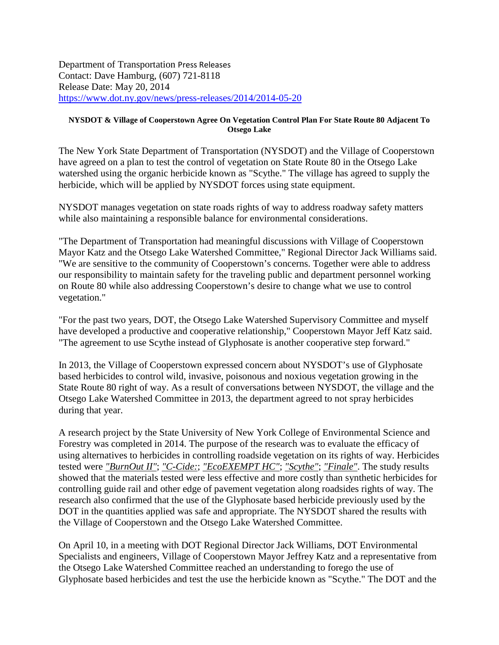Department of Transportation Press Releases Contact: Dave Hamburg, (607) 721-8118 Release Date: May 20, 2014 <https://www.dot.ny.gov/news/press-releases/2014/2014-05-20>

## **NYSDOT & Village of Cooperstown Agree On Vegetation Control Plan For State Route 80 Adjacent To Otsego Lake**

The New York State Department of Transportation (NYSDOT) and the Village of Cooperstown have agreed on a plan to test the control of vegetation on State Route 80 in the Otsego Lake watershed using the organic herbicide known as "Scythe." The village has agreed to supply the herbicide, which will be applied by NYSDOT forces using state equipment.

NYSDOT manages vegetation on state roads rights of way to address roadway safety matters while also maintaining a responsible balance for environmental considerations.

"The Department of Transportation had meaningful discussions with Village of Cooperstown Mayor Katz and the Otsego Lake Watershed Committee," Regional Director Jack Williams said. "We are sensitive to the community of Cooperstown's concerns. Together were able to address our responsibility to maintain safety for the traveling public and department personnel working on Route 80 while also addressing Cooperstown's desire to change what we use to control vegetation."

"For the past two years, DOT, the Otsego Lake Watershed Supervisory Committee and myself have developed a productive and cooperative relationship," Cooperstown Mayor Jeff Katz said. "The agreement to use Scythe instead of Glyphosate is another cooperative step forward."

In 2013, the Village of Cooperstown expressed concern about NYSDOT's use of Glyphosate based herbicides to control wild, invasive, poisonous and noxious vegetation growing in the State Route 80 right of way. As a result of conversations between NYSDOT, the village and the Otsego Lake Watershed Committee in 2013, the department agreed to not spray herbicides during that year.

A research project by the State University of New York College of Environmental Science and Forestry was completed in 2014. The purpose of the research was to evaluate the efficacy of using alternatives to herbicides in controlling roadside vegetation on its rights of way. Herbicides tested were *"BurnOut II"*; *"C-Cide:*; *"EcoEXEMPT HC"*; *"Scythe"*; *"Finale"*. The study results showed that the materials tested were less effective and more costly than synthetic herbicides for controlling guide rail and other edge of pavement vegetation along roadsides rights of way. The research also confirmed that the use of the Glyphosate based herbicide previously used by the DOT in the quantities applied was safe and appropriate. The NYSDOT shared the results with the Village of Cooperstown and the Otsego Lake Watershed Committee.

On April 10, in a meeting with DOT Regional Director Jack Williams, DOT Environmental Specialists and engineers, Village of Cooperstown Mayor Jeffrey Katz and a representative from the Otsego Lake Watershed Committee reached an understanding to forego the use of Glyphosate based herbicides and test the use the herbicide known as "Scythe." The DOT and the